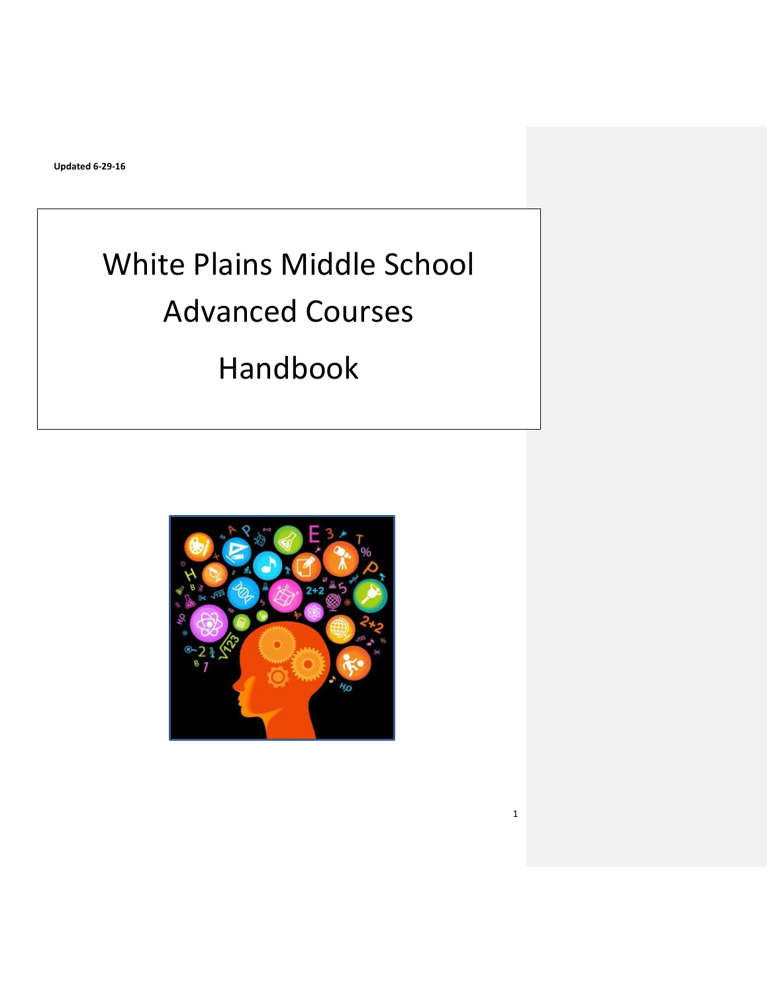# White Plains Middle School Advanced Courses Handbook

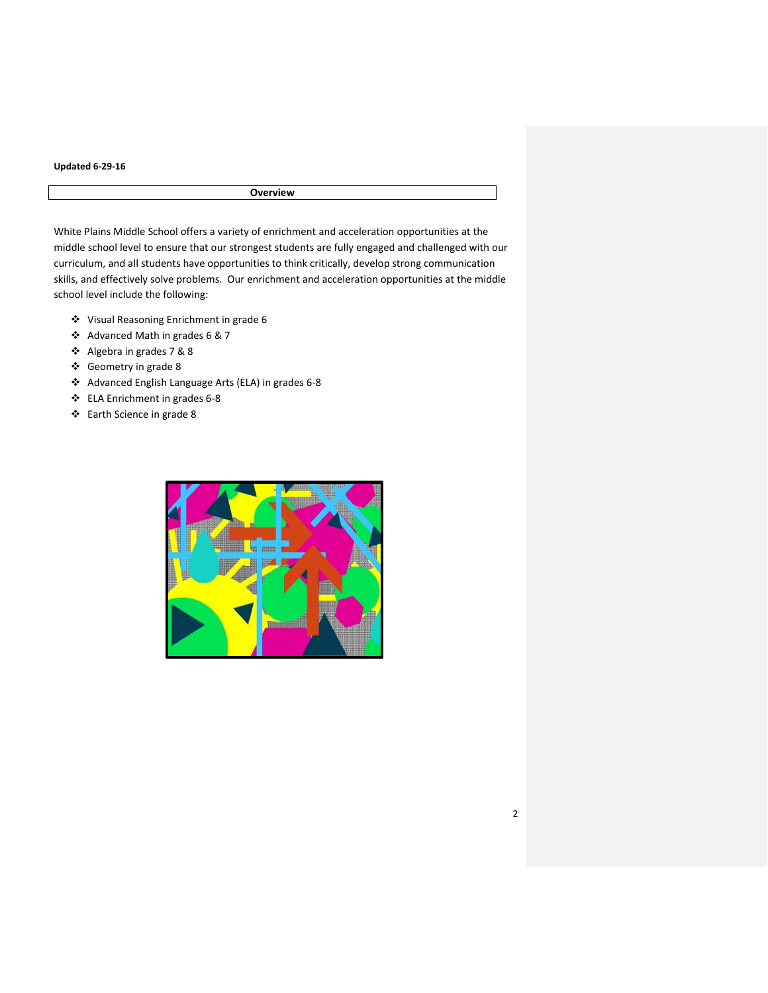# **Overview**

White Plains Middle School offers a variety of enrichment and acceleration opportunities at the middle school level to ensure that our strongest students are fully engaged and challenged with our curriculum, and all students have opportunities to think critically, develop strong communication skills, and effectively solve problems. Our enrichment and acceleration opportunities at the middle school level include the following:

- Visual Reasoning Enrichment in grade 6
- Advanced Math in grades 6 & 7
- Algebra in grades 7 & 8
- Geometry in grade 8
- Advanced English Language Arts (ELA) in grades 6-8
- ELA Enrichment in grades 6-8
- Earth Science in grade 8

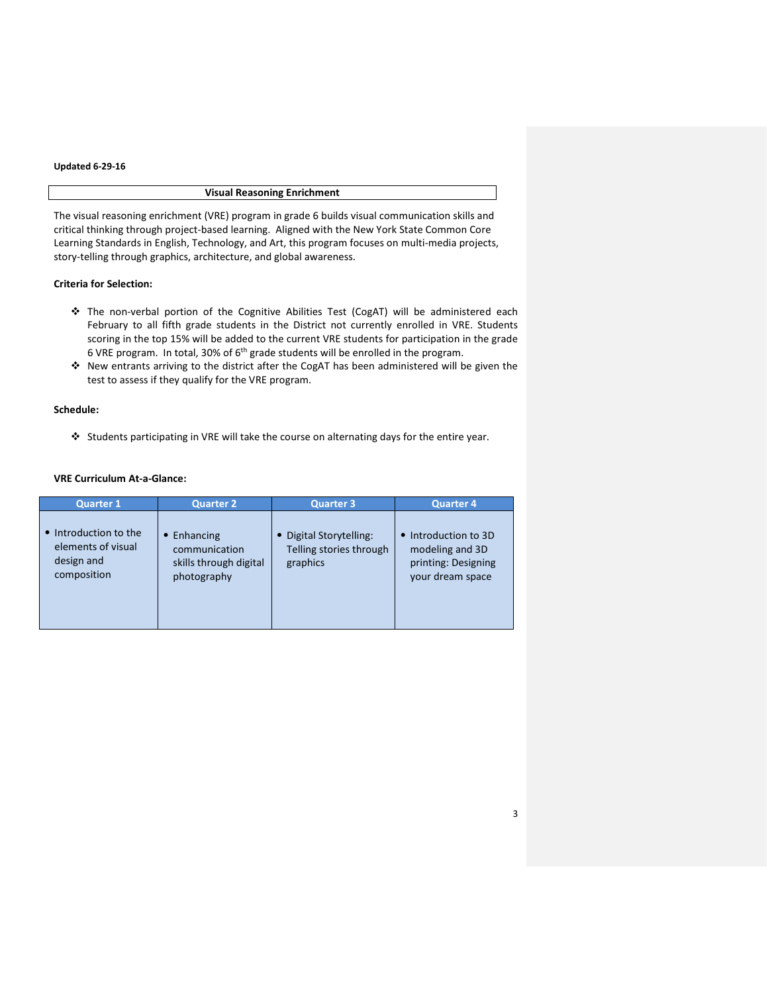# **Visual Reasoning Enrichment**

The visual reasoning enrichment (VRE) program in grade 6 builds visual communication skills and critical thinking through project-based learning. Aligned with the New York State Common Core Learning Standards in English, Technology, and Art, this program focuses on multi-media projects, story-telling through graphics, architecture, and global awareness.

# **Criteria for Selection:**

- The non-verbal portion of the Cognitive Abilities Test (CogAT) will be administered each February to all fifth grade students in the District not currently enrolled in VRE. Students scoring in the top 15% will be added to the current VRE students for participation in the grade 6 VRE program. In total, 30% of  $6<sup>th</sup>$  grade students will be enrolled in the program.
- New entrants arriving to the district after the CogAT has been administered will be given the test to assess if they qualify for the VRE program.

## **Schedule:**

Students participating in VRE will take the course on alternating days for the entire year.

## **VRE Curriculum At-a-Glance:**

| <b>Quarter 1</b>                                                       | <b>Quarter 2</b>                                                                 | <b>Quarter 3</b>                                               | <b>Quarter 4</b>                                                                              |
|------------------------------------------------------------------------|----------------------------------------------------------------------------------|----------------------------------------------------------------|-----------------------------------------------------------------------------------------------|
| Introduction to the<br>elements of visual<br>design and<br>composition | Enhancing<br>$\bullet$<br>communication<br>skills through digital<br>photography | • Digital Storytelling:<br>Telling stories through<br>graphics | Introduction to 3D<br>$\bullet$<br>modeling and 3D<br>printing: Designing<br>your dream space |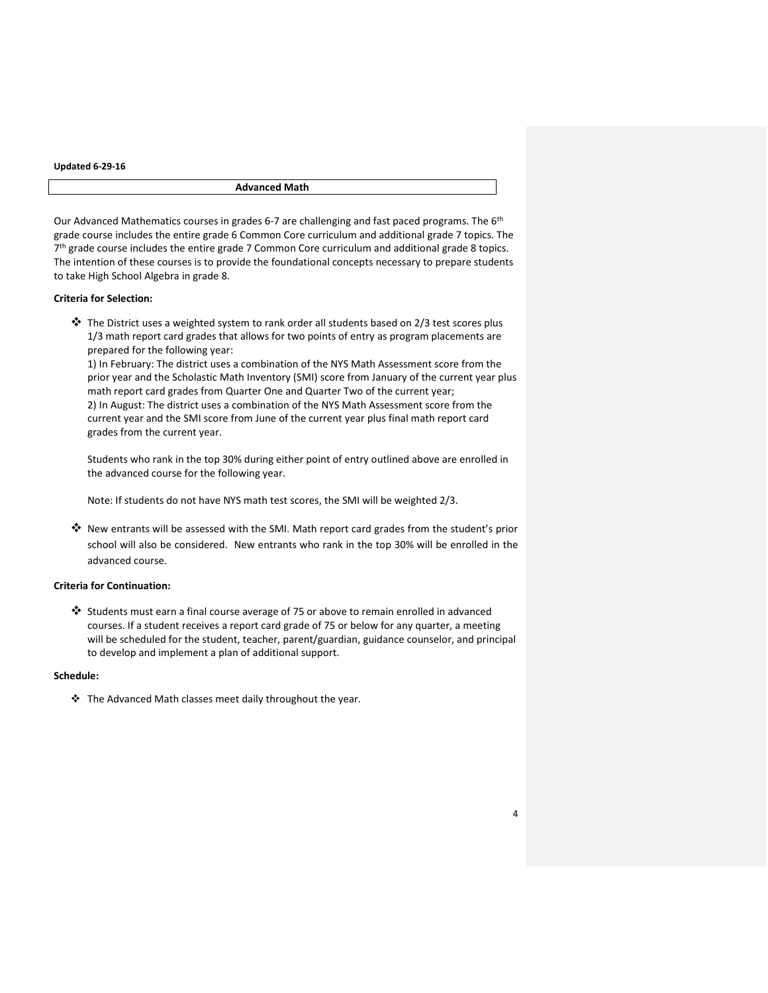#### **Advanced Math**

Our Advanced Mathematics courses in grades 6-7 are challenging and fast paced programs. The 6<sup>th</sup> grade course includes the entire grade 6 Common Core curriculum and additional grade 7 topics. The 7<sup>th</sup> grade course includes the entire grade 7 Common Core curriculum and additional grade 8 topics. The intention of these courses is to provide the foundational concepts necessary to prepare students to take High School Algebra in grade 8.

## **Criteria for Selection:**

 The District uses a weighted system to rank order all students based on 2/3 test scores plus 1/3 math report card grades that allows for two points of entry as program placements are prepared for the following year:

1) In February: The district uses a combination of the NYS Math Assessment score from the prior year and the Scholastic Math Inventory (SMI) score from January of the current year plus math report card grades from Quarter One and Quarter Two of the current year; 2) In August: The district uses a combination of the NYS Math Assessment score from the current year and the SMI score from June of the current year plus final math report card grades from the current year.

Students who rank in the top 30% during either point of entry outlined above are enrolled in the advanced course for the following year.

Note: If students do not have NYS math test scores, the SMI will be weighted 2/3.

 $\clubsuit$  New entrants will be assessed with the SMI. Math report card grades from the student's prior school will also be considered. New entrants who rank in the top 30% will be enrolled in the advanced course.

# **Criteria for Continuation:**

 Students must earn a final course average of 75 or above to remain enrolled in advanced courses. If a student receives a report card grade of 75 or below for any quarter, a meeting will be scheduled for the student, teacher, parent/guardian, guidance counselor, and principal to develop and implement a plan of additional support.

## **Schedule:**

 $\div$  The Advanced Math classes meet daily throughout the year.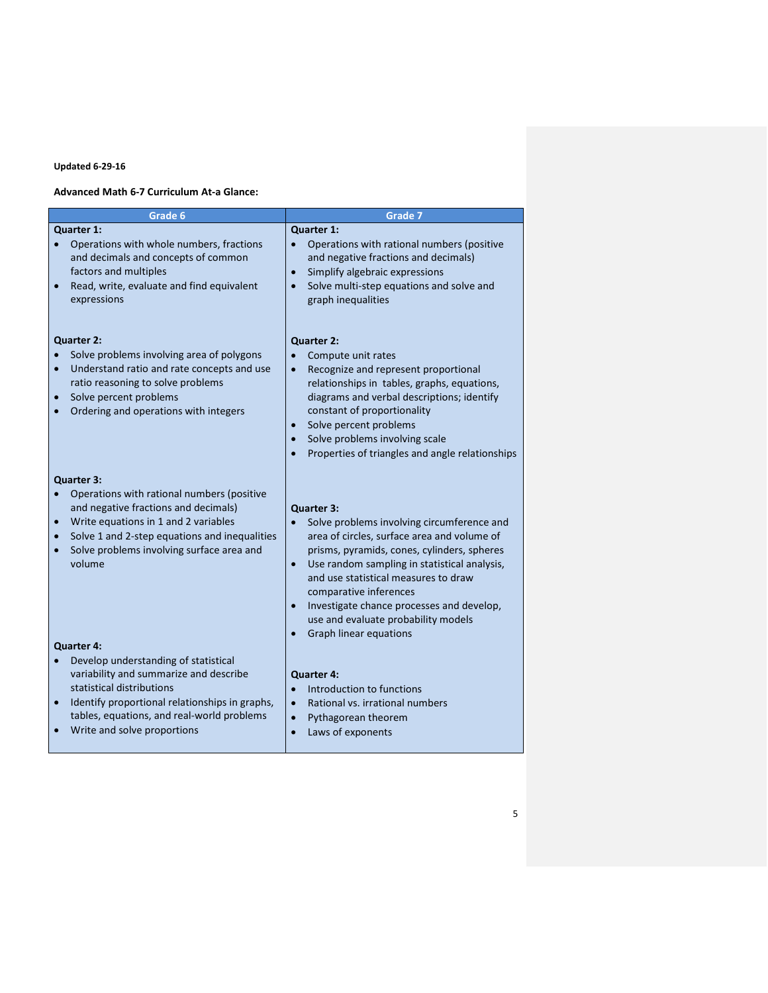## **Advanced Math 6-7 Curriculum At-a Glance:**

| Grade 6                                                                                                                                                                                                                                                                                        | Grade 7                                                                                                                                                                                                                                                                                                                                                                                             |
|------------------------------------------------------------------------------------------------------------------------------------------------------------------------------------------------------------------------------------------------------------------------------------------------|-----------------------------------------------------------------------------------------------------------------------------------------------------------------------------------------------------------------------------------------------------------------------------------------------------------------------------------------------------------------------------------------------------|
| Quarter 1:<br>Operations with whole numbers, fractions<br>$\bullet$<br>and decimals and concepts of common<br>factors and multiples<br>Read, write, evaluate and find equivalent<br>expressions                                                                                                | Quarter 1:<br>$\bullet$<br>Operations with rational numbers (positive<br>and negative fractions and decimals)<br>Simplify algebraic expressions<br>$\bullet$<br>Solve multi-step equations and solve and<br>graph inequalities                                                                                                                                                                      |
| <b>Quarter 2:</b><br>Solve problems involving area of polygons<br>Understand ratio and rate concepts and use<br>ratio reasoning to solve problems<br>Solve percent problems<br>Ordering and operations with integers                                                                           | Quarter 2:<br>Compute unit rates<br>Recognize and represent proportional<br>relationships in tables, graphs, equations,<br>diagrams and verbal descriptions; identify<br>constant of proportionality<br>Solve percent problems<br>$\bullet$<br>Solve problems involving scale<br>$\bullet$<br>Properties of triangles and angle relationships                                                       |
| <b>Quarter 3:</b><br>Operations with rational numbers (positive<br>and negative fractions and decimals)<br>Write equations in 1 and 2 variables<br>$\bullet$<br>Solve 1 and 2-step equations and inequalities<br>$\bullet$<br>Solve problems involving surface area and<br>$\bullet$<br>volume | Quarter 3:<br>Solve problems involving circumference and<br>$\bullet$<br>area of circles, surface area and volume of<br>prisms, pyramids, cones, cylinders, spheres<br>Use random sampling in statistical analysis,<br>$\bullet$<br>and use statistical measures to draw<br>comparative inferences<br>Investigate chance processes and develop,<br>$\bullet$<br>use and evaluate probability models |
| <b>Quarter 4:</b><br>Develop understanding of statistical<br>variability and summarize and describe<br>statistical distributions<br>Identify proportional relationships in graphs,<br>$\bullet$<br>tables, equations, and real-world problems<br>Write and solve proportions                   | <b>Graph linear equations</b><br><b>Quarter 4:</b><br>Introduction to functions<br>$\bullet$<br>Rational vs. irrational numbers<br>$\bullet$<br>Pythagorean theorem<br>$\bullet$<br>Laws of exponents<br>$\bullet$                                                                                                                                                                                  |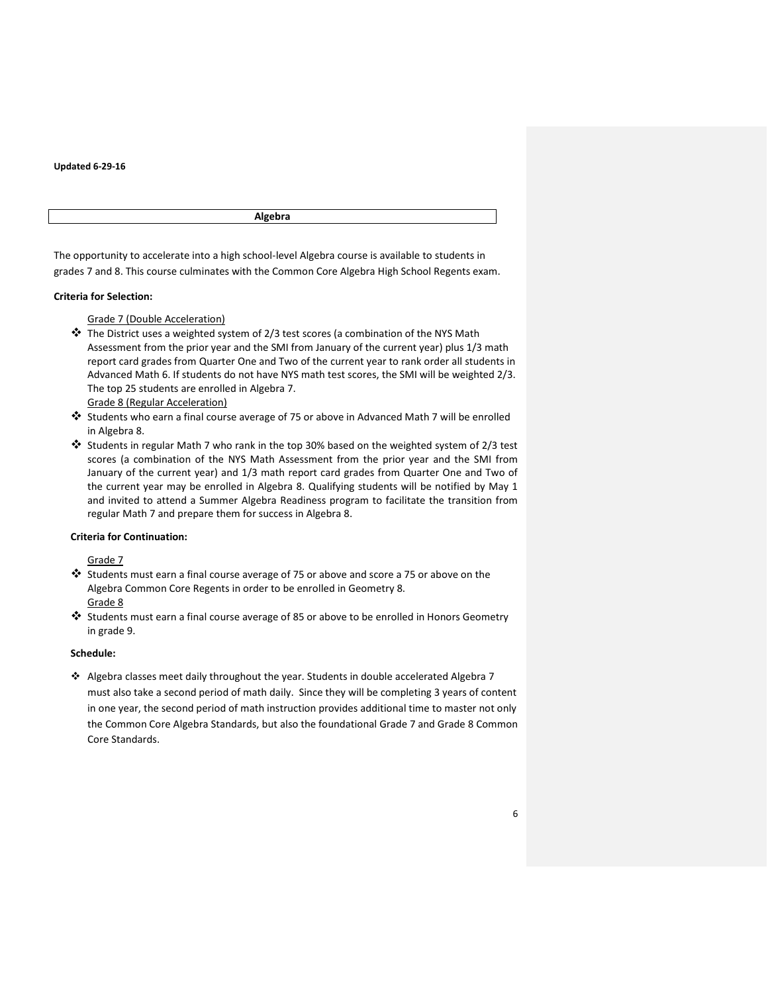**Algebra**

The opportunity to accelerate into a high school-level Algebra course is available to students in grades 7 and 8. This course culminates with the Common Core Algebra High School Regents exam.

# **Criteria for Selection:**

# Grade 7 (Double Acceleration)

- $\clubsuit$  The District uses a weighted system of 2/3 test scores (a combination of the NYS Math Assessment from the prior year and the SMI from January of the current year) plus 1/3 math report card grades from Quarter One and Two of the current year to rank order all students in Advanced Math 6. If students do not have NYS math test scores, the SMI will be weighted 2/3. The top 25 students are enrolled in Algebra 7.
	- Grade 8 (Regular Acceleration)
- Students who earn a final course average of 75 or above in Advanced Math 7 will be enrolled in Algebra 8.
- Students in regular Math 7 who rank in the top 30% based on the weighted system of 2/3 test scores (a combination of the NYS Math Assessment from the prior year and the SMI from January of the current year) and 1/3 math report card grades from Quarter One and Two of the current year may be enrolled in Algebra 8. Qualifying students will be notified by May 1 and invited to attend a Summer Algebra Readiness program to facilitate the transition from regular Math 7 and prepare them for success in Algebra 8.

## **Criteria for Continuation:**

## Grade 7

- Students must earn a final course average of 75 or above and score a 75 or above on the Algebra Common Core Regents in order to be enrolled in Geometry 8. Grade 8
- $\clubsuit$  Students must earn a final course average of 85 or above to be enrolled in Honors Geometry in grade 9.

## **Schedule:**

 Algebra classes meet daily throughout the year. Students in double accelerated Algebra 7 must also take a second period of math daily. Since they will be completing 3 years of content in one year, the second period of math instruction provides additional time to master not only the Common Core Algebra Standards, but also the foundational Grade 7 and Grade 8 Common Core Standards.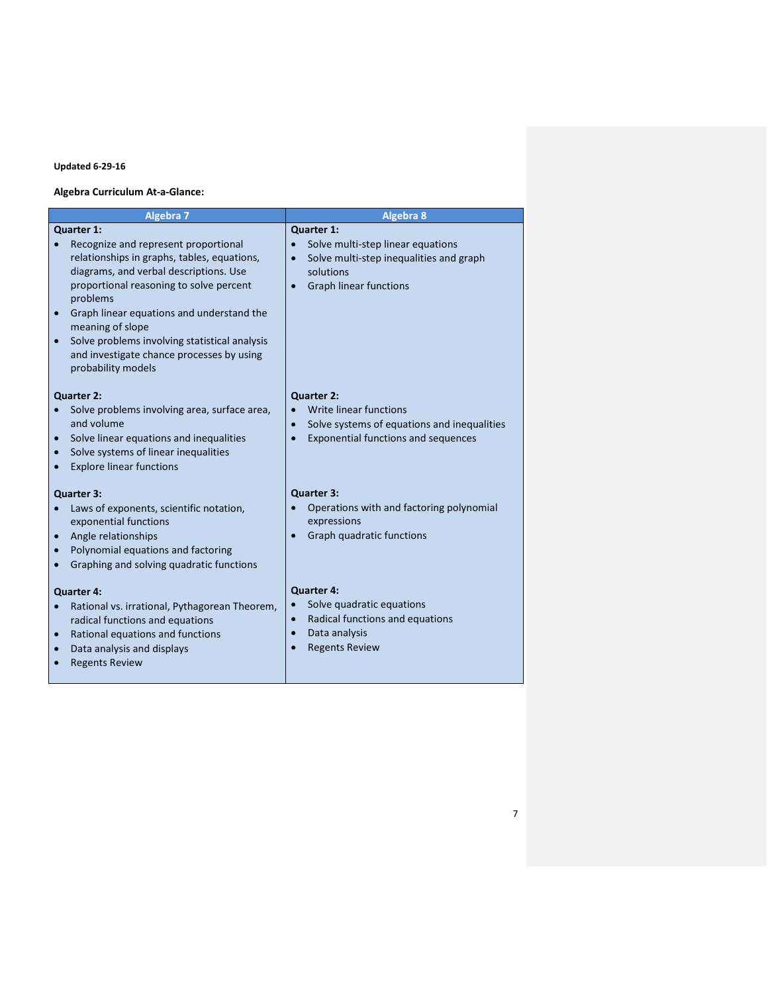# **Algebra Curriculum At-a-Glance:**

| <b>Algebra 7</b>                                                                                                                                                                                                                                                                                                                                                                        | <b>Algebra 8</b>                                                                                                                                                   |  |
|-----------------------------------------------------------------------------------------------------------------------------------------------------------------------------------------------------------------------------------------------------------------------------------------------------------------------------------------------------------------------------------------|--------------------------------------------------------------------------------------------------------------------------------------------------------------------|--|
| Quarter 1:<br>Recognize and represent proportional<br>relationships in graphs, tables, equations,<br>diagrams, and verbal descriptions. Use<br>proportional reasoning to solve percent<br>problems<br>Graph linear equations and understand the<br>meaning of slope<br>Solve problems involving statistical analysis<br>and investigate chance processes by using<br>probability models | Quarter 1:<br>Solve multi-step linear equations<br>Solve multi-step inequalities and graph<br>$\bullet$<br>solutions<br><b>Graph linear functions</b><br>$\bullet$ |  |
| <b>Quarter 2:</b><br>Solve problems involving area, surface area,<br>and volume<br>Solve linear equations and inequalities<br>$\bullet$<br>Solve systems of linear inequalities<br><b>Explore linear functions</b>                                                                                                                                                                      | Quarter 2:<br>Write linear functions<br>Solve systems of equations and inequalities<br>$\bullet$<br><b>Exponential functions and sequences</b><br>$\bullet$        |  |
| <b>Quarter 3:</b><br>Laws of exponents, scientific notation,<br>exponential functions<br>Angle relationships<br>$\bullet$<br>Polynomial equations and factoring<br>$\bullet$<br>Graphing and solving quadratic functions<br>$\bullet$                                                                                                                                                   | Quarter 3:<br>Operations with and factoring polynomial<br>expressions<br>Graph quadratic functions                                                                 |  |
| <b>Quarter 4:</b><br>Rational vs. irrational, Pythagorean Theorem,<br>radical functions and equations<br>Rational equations and functions<br>$\bullet$<br>Data analysis and displays<br>$\bullet$<br><b>Regents Review</b>                                                                                                                                                              | <b>Quarter 4:</b><br>Solve quadratic equations<br>Radical functions and equations<br>Data analysis<br>$\bullet$<br><b>Regents Review</b><br>$\bullet$              |  |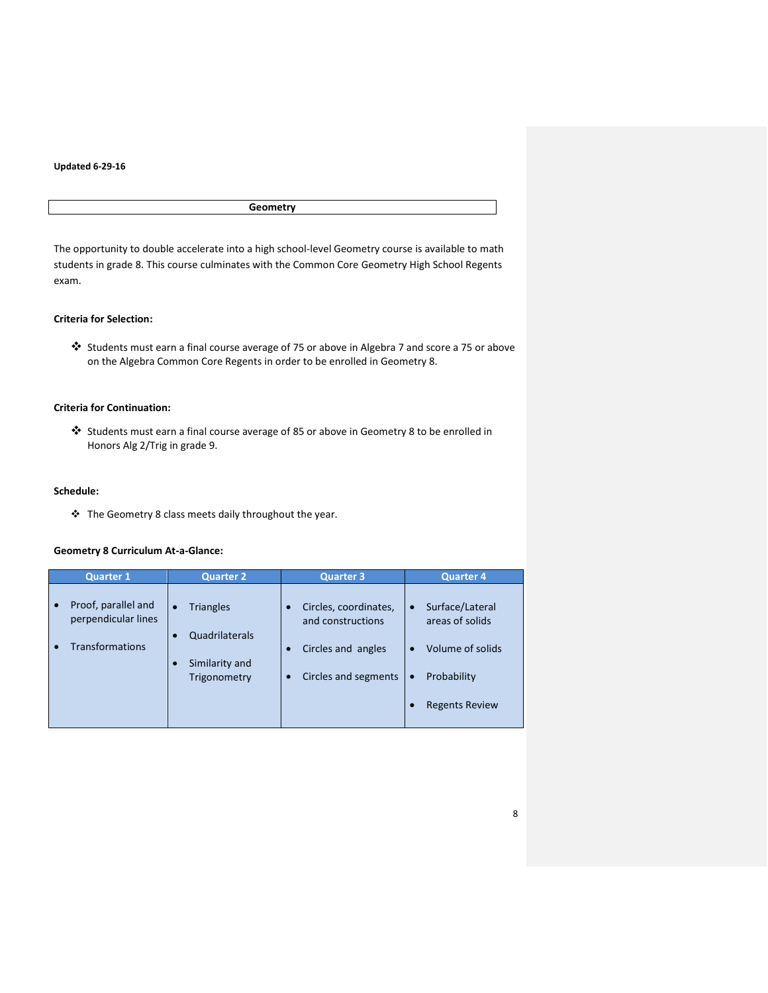# **Geometry**

The opportunity to double accelerate into a high school-level Geometry course is available to math students in grade 8. This course culminates with the Common Core Geometry High School Regents exam.

# **Criteria for Selection:**

 Students must earn a final course average of 75 or above in Algebra 7 and score a 75 or above on the Algebra Common Core Regents in order to be enrolled in Geometry 8.

# **Criteria for Continuation:**

 Students must earn a final course average of 85 or above in Geometry 8 to be enrolled in Honors Alg 2/Trig in grade 9.

# **Schedule:**

\* The Geometry 8 class meets daily throughout the year.

# **Geometry 8 Curriculum At-a-Glance:**

| <b>Quarter 1</b>                                                     | <b>Quarter 2</b>                                                                  | <b>Quarter 3</b>                                                                                      | <b>Quarter 4</b>                                                                                                         |
|----------------------------------------------------------------------|-----------------------------------------------------------------------------------|-------------------------------------------------------------------------------------------------------|--------------------------------------------------------------------------------------------------------------------------|
| Proof, parallel and<br>perpendicular lines<br><b>Transformations</b> | <b>Triangles</b><br>$\bullet$<br>Quadrilaterals<br>Similarity and<br>Trigonometry | Circles, coordinates,<br>$\bullet$<br>and constructions<br>Circles and angles<br>Circles and segments | Surface/Lateral<br>$\bullet$<br>areas of solids<br>Volume of solids<br>Probability<br>$\bullet$<br><b>Regents Review</b> |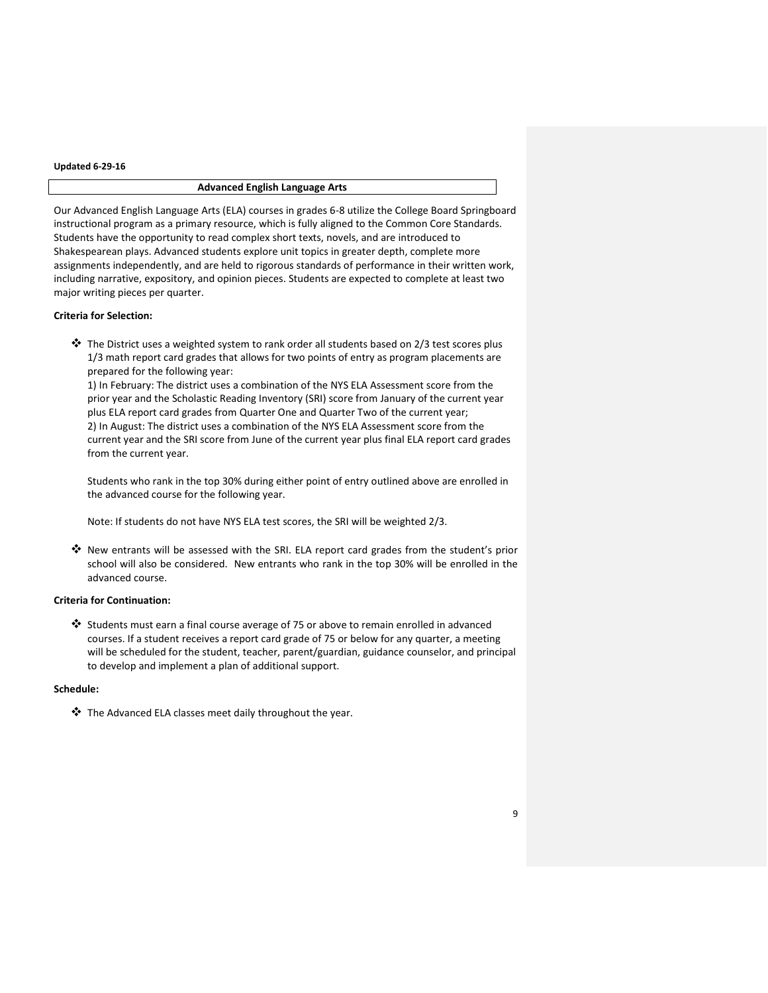# **Advanced English Language Arts**

Our Advanced English Language Arts (ELA) courses in grades 6-8 utilize the College Board Springboard instructional program as a primary resource, which is fully aligned to the Common Core Standards. Students have the opportunity to read complex short texts, novels, and are introduced to Shakespearean plays. Advanced students explore unit topics in greater depth, complete more assignments independently, and are held to rigorous standards of performance in their written work, including narrative, expository, and opinion pieces. Students are expected to complete at least two major writing pieces per quarter.

#### **Criteria for Selection:**

 $\clubsuit$  The District uses a weighted system to rank order all students based on 2/3 test scores plus 1/3 math report card grades that allows for two points of entry as program placements are prepared for the following year:

1) In February: The district uses a combination of the NYS ELA Assessment score from the prior year and the Scholastic Reading Inventory (SRI) score from January of the current year plus ELA report card grades from Quarter One and Quarter Two of the current year; 2) In August: The district uses a combination of the NYS ELA Assessment score from the current year and the SRI score from June of the current year plus final ELA report card grades from the current year.

Students who rank in the top 30% during either point of entry outlined above are enrolled in the advanced course for the following year.

Note: If students do not have NYS ELA test scores, the SRI will be weighted 2/3.

 New entrants will be assessed with the SRI. ELA report card grades from the student's prior school will also be considered. New entrants who rank in the top 30% will be enrolled in the advanced course.

# **Criteria for Continuation:**

 Students must earn a final course average of 75 or above to remain enrolled in advanced courses. If a student receives a report card grade of 75 or below for any quarter, a meeting will be scheduled for the student, teacher, parent/guardian, guidance counselor, and principal to develop and implement a plan of additional support.

## **Schedule:**

The Advanced ELA classes meet daily throughout the year.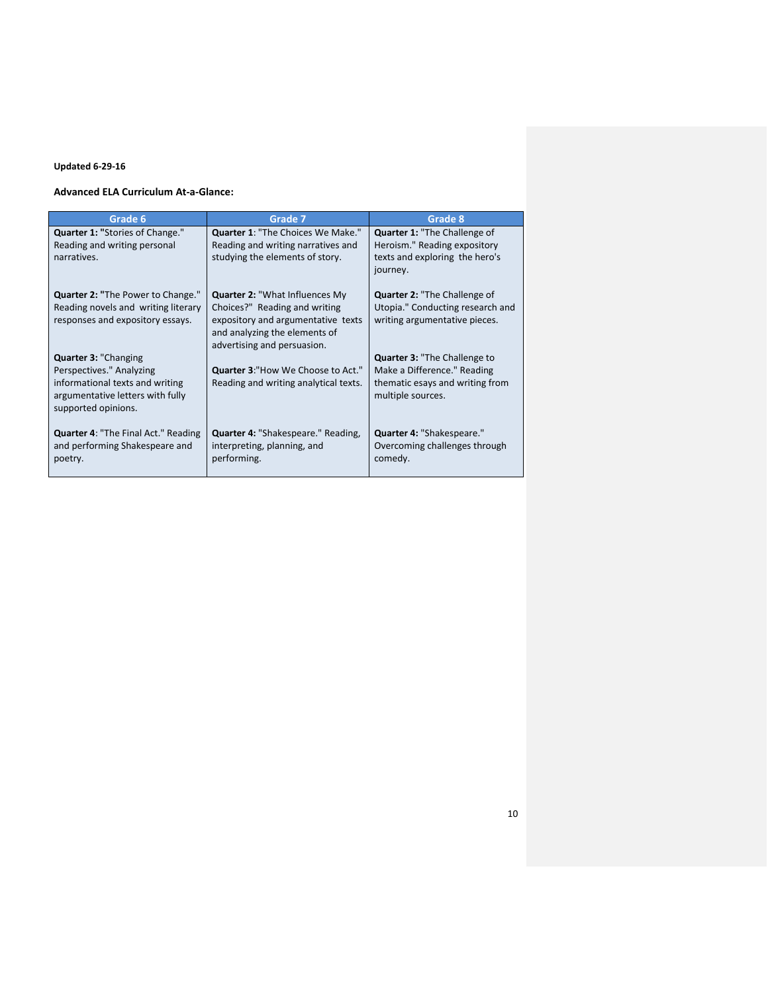## **Advanced ELA Curriculum At-a-Glance:**

| Grade 6                                                                                                                                               | Grade 7                                                                                                                                                                      | Grade 8                                                                                                                    |
|-------------------------------------------------------------------------------------------------------------------------------------------------------|------------------------------------------------------------------------------------------------------------------------------------------------------------------------------|----------------------------------------------------------------------------------------------------------------------------|
| Quarter 1: "Stories of Change."<br>Reading and writing personal<br>narratives.                                                                        | Quarter 1: "The Choices We Make."<br>Reading and writing narratives and<br>studying the elements of story.                                                                   | <b>Quarter 1: "The Challenge of</b><br>Heroism." Reading expository<br>texts and exploring the hero's<br>journey.          |
| <b>Quarter 2: "The Power to Change."</b><br>Reading novels and writing literary<br>responses and expository essays.                                   | <b>Quarter 2: "What Influences My</b><br>Choices?" Reading and writing<br>expository and argumentative texts<br>and analyzing the elements of<br>advertising and persuasion. | <b>Quarter 2: "The Challenge of</b><br>Utopia." Conducting research and<br>writing argumentative pieces.                   |
| <b>Quarter 3: "Changing</b><br>Perspectives." Analyzing<br>informational texts and writing<br>argumentative letters with fully<br>supported opinions. | <b>Quarter 3: "How We Choose to Act."</b><br>Reading and writing analytical texts.                                                                                           | <b>Quarter 3: "The Challenge to</b><br>Make a Difference." Reading<br>thematic esays and writing from<br>multiple sources. |
| <b>Quarter 4: "The Final Act." Reading</b><br>and performing Shakespeare and<br>poetry.                                                               | <b>Quarter 4: "Shakespeare." Reading,</b><br>interpreting, planning, and<br>performing.                                                                                      | Quarter 4: "Shakespeare."<br>Overcoming challenges through<br>comedy.                                                      |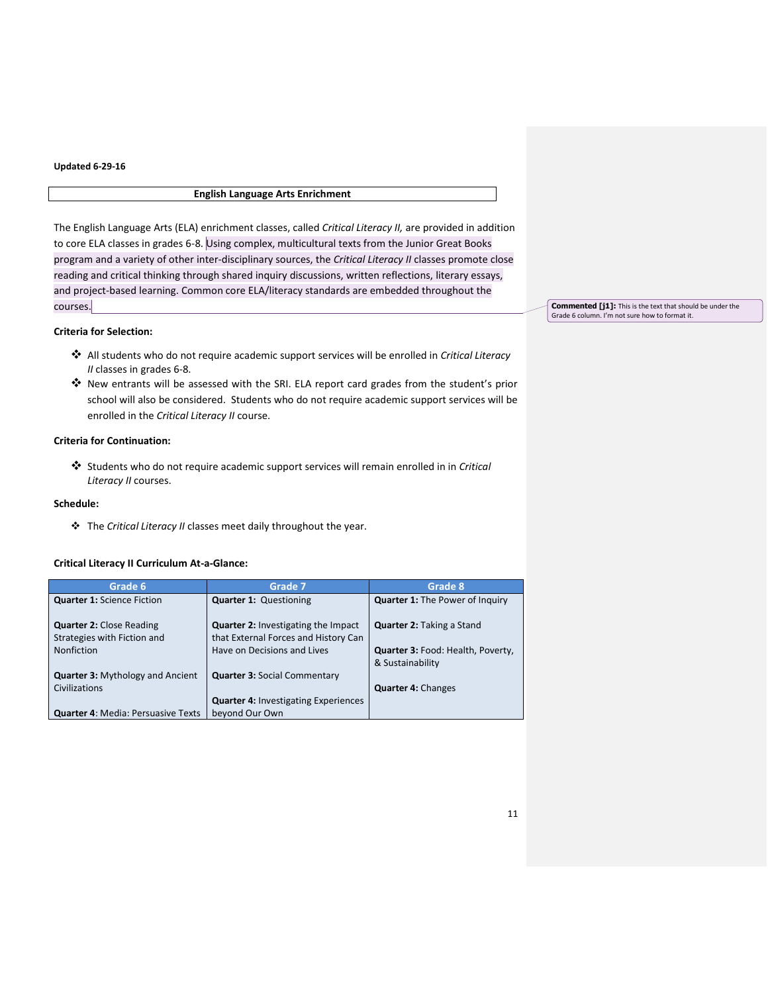# **English Language Arts Enrichment**

The English Language Arts (ELA) enrichment classes, called *Critical Literacy II,* are provided in addition to core ELA classes in grades 6-8. Using complex, multicultural texts from the Junior Great Books program and a variety of other inter-disciplinary sources, the *Critical Literacy II* classes promote close reading and critical thinking through shared inquiry discussions, written reflections, literary essays, and project-based learning. Common core ELA/literacy standards are embedded throughout the courses.

# **Criteria for Selection:**

- All students who do not require academic support services will be enrolled in *Critical Literacy II* classes in grades 6-8.
- New entrants will be assessed with the SRI. ELA report card grades from the student's prior school will also be considered. Students who do not require academic support services will be enrolled in the *Critical Literacy II* course.

# **Criteria for Continuation:**

 Students who do not require academic support services will remain enrolled in in *Critical Literacy II* courses.

## **Schedule:**

The *Critical Literacy II* classes meet daily throughout the year.

# **Critical Literacy II Curriculum At-a-Glance:**

| Grade 6                                   | Grade 7                                     | Grade 8                                  |
|-------------------------------------------|---------------------------------------------|------------------------------------------|
| <b>Quarter 1: Science Fiction</b>         | <b>Quarter 1: Questioning</b>               | <b>Quarter 1: The Power of Inquiry</b>   |
|                                           |                                             |                                          |
| <b>Quarter 2: Close Reading</b>           | <b>Quarter 2: Investigating the Impact</b>  | <b>Quarter 2: Taking a Stand</b>         |
| Strategies with Fiction and               | that External Forces and History Can        |                                          |
| <b>Nonfiction</b>                         | Have on Decisions and Lives                 | <b>Quarter 3: Food: Health, Poverty,</b> |
|                                           |                                             | & Sustainability                         |
| <b>Quarter 3: Mythology and Ancient</b>   | <b>Quarter 3: Social Commentary</b>         |                                          |
| Civilizations                             |                                             | <b>Quarter 4: Changes</b>                |
|                                           | <b>Quarter 4: Investigating Experiences</b> |                                          |
| <b>Quarter 4: Media: Persuasive Texts</b> | beyond Our Own                              |                                          |

**Commented [j1]:** This is the text that should be under the Grade 6 column. I'm not sure how to format it.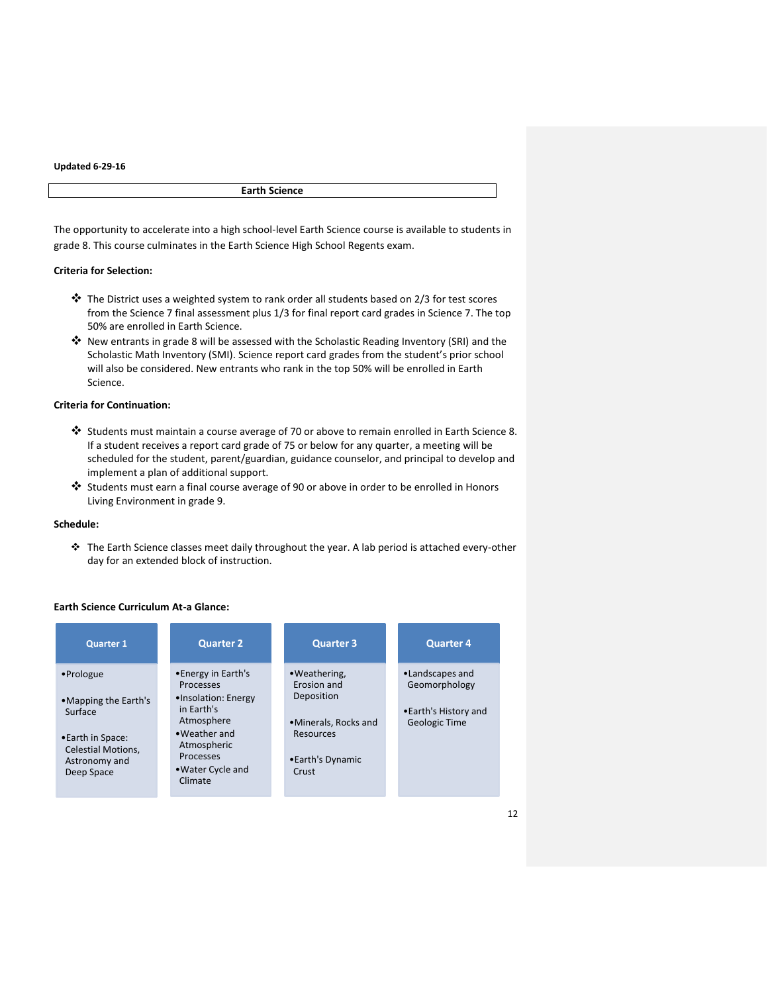**Earth Science**

The opportunity to accelerate into a high school-level Earth Science course is available to students in grade 8. This course culminates in the Earth Science High School Regents exam.

#### **Criteria for Selection:**

- The District uses a weighted system to rank order all students based on 2/3 for test scores from the Science 7 final assessment plus 1/3 for final report card grades in Science 7. The top 50% are enrolled in Earth Science.
- $\dots$  New entrants in grade 8 will be assessed with the Scholastic Reading Inventory (SRI) and the Scholastic Math Inventory (SMI). Science report card grades from the student's prior school will also be considered. New entrants who rank in the top 50% will be enrolled in Earth Science.

# **Criteria for Continuation:**

- Students must maintain a course average of 70 or above to remain enrolled in Earth Science 8. If a student receives a report card grade of 75 or below for any quarter, a meeting will be scheduled for the student, parent/guardian, guidance counselor, and principal to develop and implement a plan of additional support.
- Students must earn a final course average of 90 or above in order to be enrolled in Honors Living Environment in grade 9.

## **Schedule:**

 The Earth Science classes meet daily throughout the year. A lab period is attached every-other day for an extended block of instruction.

# **Earth Science Curriculum At-a Glance:**

| <b>Quarter 1</b>                                                                                                             | <b>Quarter 2</b>                                                                                                                                                              | <b>Quarter 3</b>                                                                                              | <b>Quarter 4</b>                                                                 |
|------------------------------------------------------------------------------------------------------------------------------|-------------------------------------------------------------------------------------------------------------------------------------------------------------------------------|---------------------------------------------------------------------------------------------------------------|----------------------------------------------------------------------------------|
| •Prologue<br>•Mapping the Earth's<br>Surface<br>•Earth in Space:<br><b>Celestial Motions,</b><br>Astronomy and<br>Deep Space | •Energy in Earth's<br><b>Processes</b><br>•Insolation: Energy<br>in Earth's<br>Atmosphere<br>• Weather and<br>Atmospheric<br><b>Processes</b><br>• Water Cycle and<br>Climate | • Weathering.<br>Erosion and<br>Deposition<br>•Minerals, Rocks and<br>Resources<br>• Earth's Dynamic<br>Crust | •Landscapes and<br>Geomorphology<br>•Earth's History and<br><b>Geologic Time</b> |